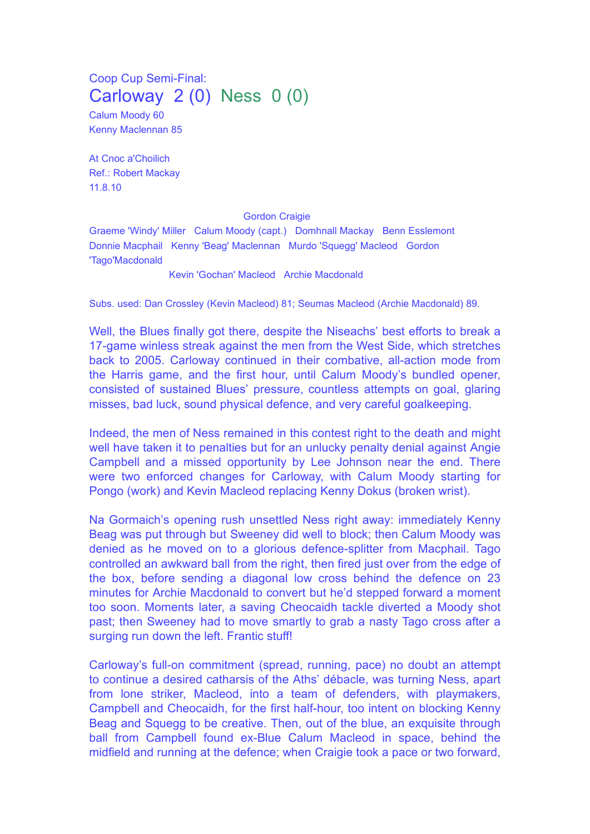Coop Cup Semi-Final: Carloway 2 (0) Ness 0 (0)

Calum Moody 60 Kenny Maclennan 85

At Cnoc a'Choilich Ref.: Robert Mackay 11.8.10

## Gordon Craigie

Graeme 'Windy' Miller Calum Moody (capt.) Domhnall Mackay Benn Esslemont Donnie Macphail Kenny 'Beag' Maclennan Murdo 'Squegg' Macleod Gordon 'Tago'Macdonald

Kevin 'Gochan' Macleod Archie Macdonald

Subs. used: Dan Crossley (Kevin Macleod) 81; Seumas Macleod (Archie Macdonald) 89.

Well, the Blues finally got there, despite the Niseachs' best efforts to break a 17-game winless streak against the men from the West Side, which stretches back to 2005. Carloway continued in their combative, all-action mode from the Harris game, and the first hour, until Calum Moody's bundled opener, consisted of sustained Blues' pressure, countless attempts on goal, glaring misses, bad luck, sound physical defence, and very careful goalkeeping.

Indeed, the men of Ness remained in this contest right to the death and might well have taken it to penalties but for an unlucky penalty denial against Angie Campbell and a missed opportunity by Lee Johnson near the end. There were two enforced changes for Carloway, with Calum Moody starting for Pongo (work) and Kevin Macleod replacing Kenny Dokus (broken wrist).

Na Gormaich's opening rush unsettled Ness right away: immediately Kenny Beag was put through but Sweeney did well to block; then Calum Moody was denied as he moved on to a glorious defence-splitter from Macphail. Tago controlled an awkward ball from the right, then fired just over from the edge of the box, before sending a diagonal low cross behind the defence on 23 minutes for Archie Macdonald to convert but he'd stepped forward a moment too soon. Moments later, a saving Cheocaidh tackle diverted a Moody shot past; then Sweeney had to move smartly to grab a nasty Tago cross after a surging run down the left. Frantic stuff!

Carloway's full-on commitment (spread, running, pace) no doubt an attempt to continue a desired catharsis of the Aths' débacle, was turning Ness, apart from lone striker, Macleod, into a team of defenders, with playmakers, Campbell and Cheocaidh, for the first half-hour, too intent on blocking Kenny Beag and Squegg to be creative. Then, out of the blue, an exquisite through ball from Campbell found ex-Blue Calum Macleod in space, behind the midfield and running at the defence; when Craigie took a pace or two forward,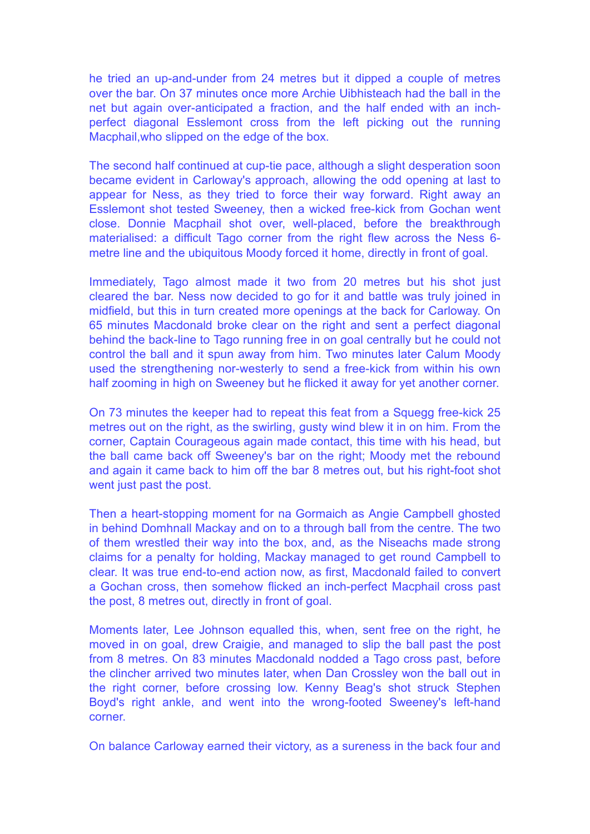he tried an up-and-under from 24 metres but it dipped a couple of metres over the bar. On 37 minutes once more Archie Uibhisteach had the ball in the net but again over-anticipated a fraction, and the half ended with an inchperfect diagonal Esslemont cross from the left picking out the running Macphail,who slipped on the edge of the box.

The second half continued at cup-tie pace, although a slight desperation soon became evident in Carloway's approach, allowing the odd opening at last to appear for Ness, as they tried to force their way forward. Right away an Esslemont shot tested Sweeney, then a wicked free-kick from Gochan went close. Donnie Macphail shot over, well-placed, before the breakthrough materialised: a difficult Tago corner from the right flew across the Ness 6 metre line and the ubiquitous Moody forced it home, directly in front of goal.

Immediately, Tago almost made it two from 20 metres but his shot just cleared the bar. Ness now decided to go for it and battle was truly joined in midfield, but this in turn created more openings at the back for Carloway. On 65 minutes Macdonald broke clear on the right and sent a perfect diagonal behind the back-line to Tago running free in on goal centrally but he could not control the ball and it spun away from him. Two minutes later Calum Moody used the strengthening nor-westerly to send a free-kick from within his own half zooming in high on Sweeney but he flicked it away for yet another corner.

On 73 minutes the keeper had to repeat this feat from a Squegg free-kick 25 metres out on the right, as the swirling, gusty wind blew it in on him. From the corner, Captain Courageous again made contact, this time with his head, but the ball came back off Sweeney's bar on the right; Moody met the rebound and again it came back to him off the bar 8 metres out, but his right-foot shot went just past the post.

Then a heart-stopping moment for na Gormaich as Angie Campbell ghosted in behind Domhnall Mackay and on to a through ball from the centre. The two of them wrestled their way into the box, and, as the Niseachs made strong claims for a penalty for holding, Mackay managed to get round Campbell to clear. It was true end-to-end action now, as first, Macdonald failed to convert a Gochan cross, then somehow flicked an inch-perfect Macphail cross past the post, 8 metres out, directly in front of goal.

Moments later, Lee Johnson equalled this, when, sent free on the right, he moved in on goal, drew Craigie, and managed to slip the ball past the post from 8 metres. On 83 minutes Macdonald nodded a Tago cross past, before the clincher arrived two minutes later, when Dan Crossley won the ball out in the right corner, before crossing low. Kenny Beag's shot struck Stephen Boyd's right ankle, and went into the wrong-footed Sweeney's left-hand corner.

On balance Carloway earned their victory, as a sureness in the back four and